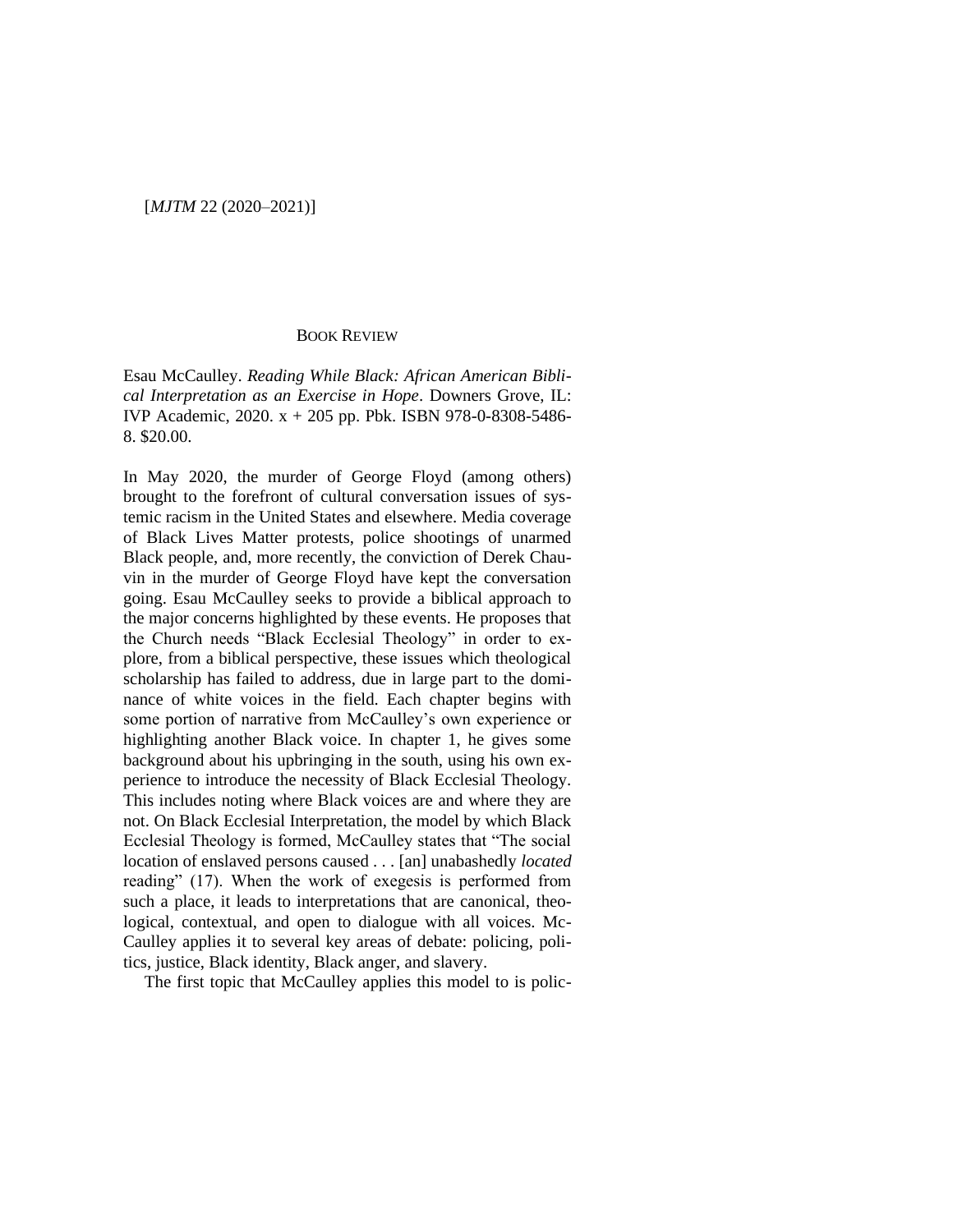## BOOK REVIEW

Esau McCaulley. *Reading While Black: African American Biblical Interpretation as an Exercise in Hope*. Downers Grove, IL: IVP Academic, 2020. x + 205 pp. Pbk. ISBN 978-0-8308-5486- 8. \$20.00.

In May 2020, the murder of George Floyd (among others) brought to the forefront of cultural conversation issues of systemic racism in the United States and elsewhere. Media coverage of Black Lives Matter protests, police shootings of unarmed Black people, and, more recently, the conviction of Derek Chauvin in the murder of George Floyd have kept the conversation going. Esau McCaulley seeks to provide a biblical approach to the major concerns highlighted by these events. He proposes that the Church needs "Black Ecclesial Theology" in order to explore, from a biblical perspective, these issues which theological scholarship has failed to address, due in large part to the dominance of white voices in the field. Each chapter begins with some portion of narrative from McCaulley's own experience or highlighting another Black voice. In chapter 1, he gives some background about his upbringing in the south, using his own experience to introduce the necessity of Black Ecclesial Theology. This includes noting where Black voices are and where they are not. On Black Ecclesial Interpretation, the model by which Black Ecclesial Theology is formed, McCaulley states that "The social location of enslaved persons caused . . . [an] unabashedly *located* reading" (17). When the work of exegesis is performed from such a place, it leads to interpretations that are canonical, theological, contextual, and open to dialogue with all voices. Mc-Caulley applies it to several key areas of debate: policing, politics, justice, Black identity, Black anger, and slavery.

The first topic that McCaulley applies this model to is polic-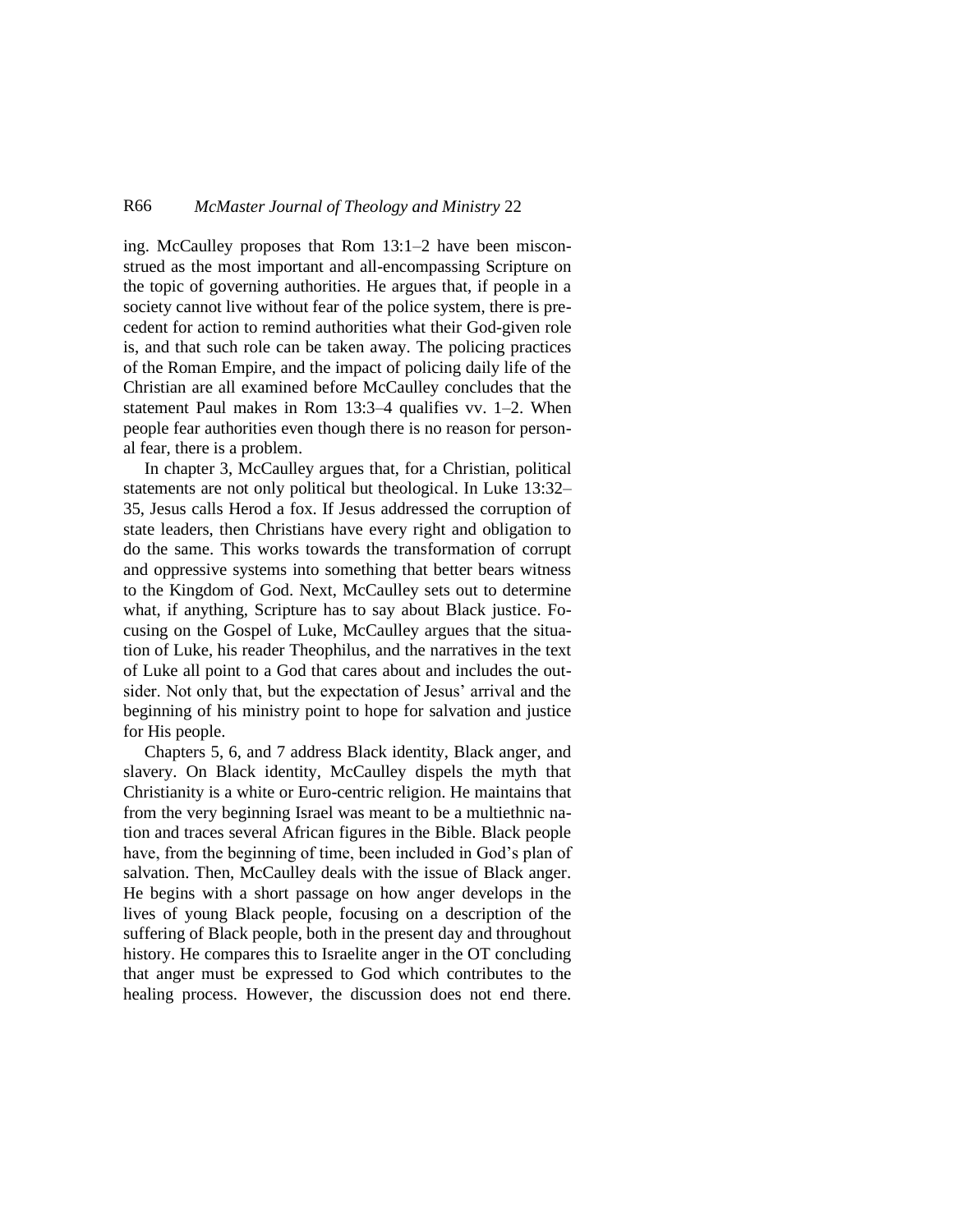## R66 *McMaster Journal of Theology and Ministry* 22

ing. McCaulley proposes that Rom 13:1–2 have been misconstrued as the most important and all-encompassing Scripture on the topic of governing authorities. He argues that, if people in a society cannot live without fear of the police system, there is precedent for action to remind authorities what their God-given role is, and that such role can be taken away. The policing practices of the Roman Empire, and the impact of policing daily life of the Christian are all examined before McCaulley concludes that the statement Paul makes in Rom 13:3–4 qualifies vv. 1–2. When people fear authorities even though there is no reason for personal fear, there is a problem.

In chapter 3, McCaulley argues that, for a Christian, political statements are not only political but theological. In Luke 13:32– 35, Jesus calls Herod a fox. If Jesus addressed the corruption of state leaders, then Christians have every right and obligation to do the same. This works towards the transformation of corrupt and oppressive systems into something that better bears witness to the Kingdom of God. Next, McCaulley sets out to determine what, if anything, Scripture has to say about Black justice. Focusing on the Gospel of Luke, McCaulley argues that the situation of Luke, his reader Theophilus, and the narratives in the text of Luke all point to a God that cares about and includes the outsider. Not only that, but the expectation of Jesus' arrival and the beginning of his ministry point to hope for salvation and justice for His people.

Chapters 5, 6, and 7 address Black identity, Black anger, and slavery. On Black identity, McCaulley dispels the myth that Christianity is a white or Euro-centric religion. He maintains that from the very beginning Israel was meant to be a multiethnic nation and traces several African figures in the Bible. Black people have, from the beginning of time, been included in God's plan of salvation. Then, McCaulley deals with the issue of Black anger. He begins with a short passage on how anger develops in the lives of young Black people, focusing on a description of the suffering of Black people, both in the present day and throughout history. He compares this to Israelite anger in the OT concluding that anger must be expressed to God which contributes to the healing process. However, the discussion does not end there.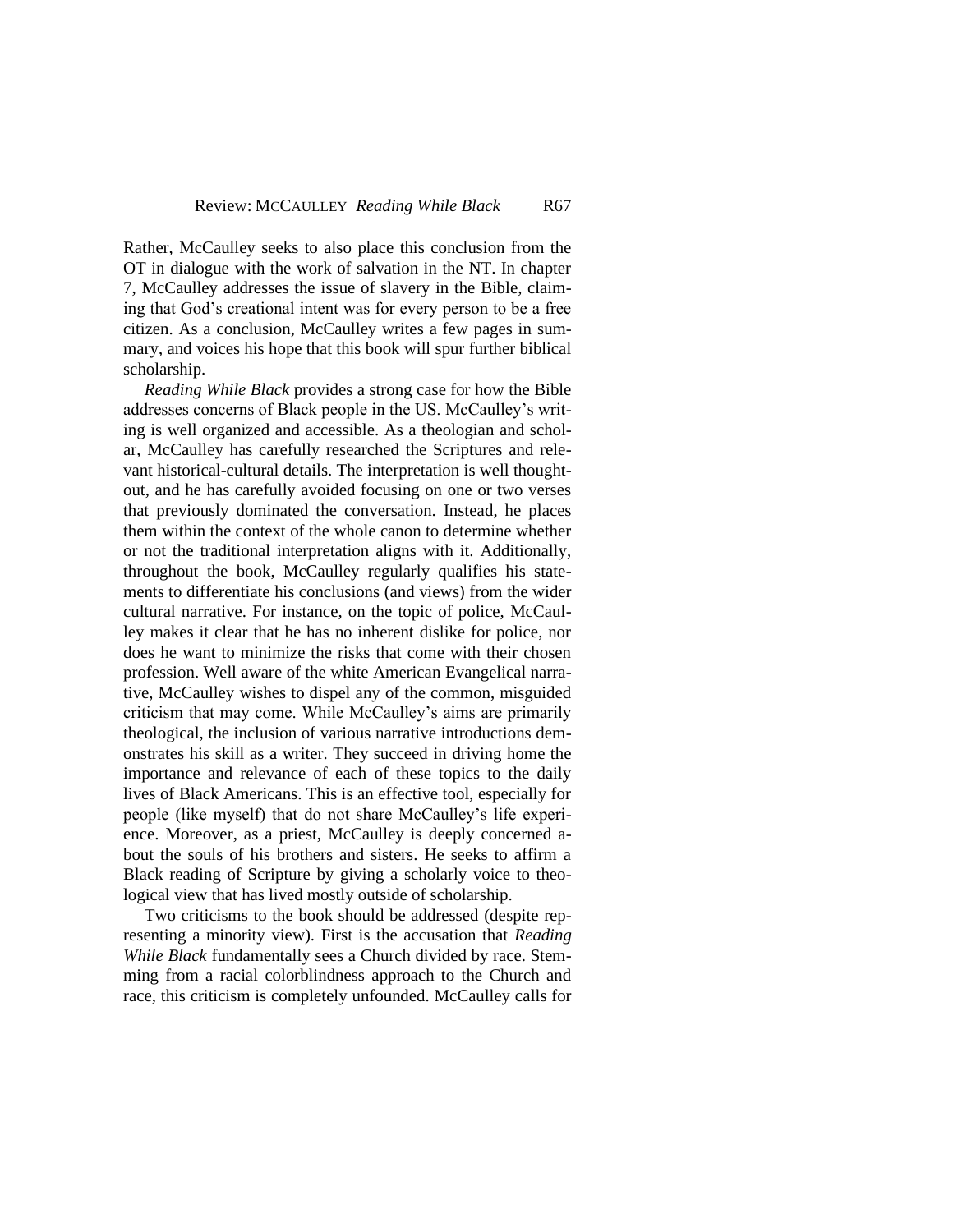Rather, McCaulley seeks to also place this conclusion from the OT in dialogue with the work of salvation in the NT. In chapter 7, McCaulley addresses the issue of slavery in the Bible, claiming that God's creational intent was for every person to be a free citizen. As a conclusion, McCaulley writes a few pages in summary, and voices his hope that this book will spur further biblical scholarship.

*Reading While Black* provides a strong case for how the Bible addresses concerns of Black people in the US. McCaulley's writing is well organized and accessible. As a theologian and scholar, McCaulley has carefully researched the Scriptures and relevant historical-cultural details. The interpretation is well thoughtout, and he has carefully avoided focusing on one or two verses that previously dominated the conversation. Instead, he places them within the context of the whole canon to determine whether or not the traditional interpretation aligns with it. Additionally, throughout the book, McCaulley regularly qualifies his statements to differentiate his conclusions (and views) from the wider cultural narrative. For instance, on the topic of police, McCaulley makes it clear that he has no inherent dislike for police, nor does he want to minimize the risks that come with their chosen profession. Well aware of the white American Evangelical narrative, McCaulley wishes to dispel any of the common, misguided criticism that may come. While McCaulley's aims are primarily theological, the inclusion of various narrative introductions demonstrates his skill as a writer. They succeed in driving home the importance and relevance of each of these topics to the daily lives of Black Americans. This is an effective tool, especially for people (like myself) that do not share McCaulley's life experience. Moreover, as a priest, McCaulley is deeply concerned about the souls of his brothers and sisters. He seeks to affirm a Black reading of Scripture by giving a scholarly voice to theological view that has lived mostly outside of scholarship.

Two criticisms to the book should be addressed (despite representing a minority view). First is the accusation that *Reading While Black* fundamentally sees a Church divided by race. Stemming from a racial colorblindness approach to the Church and race, this criticism is completely unfounded. McCaulley calls for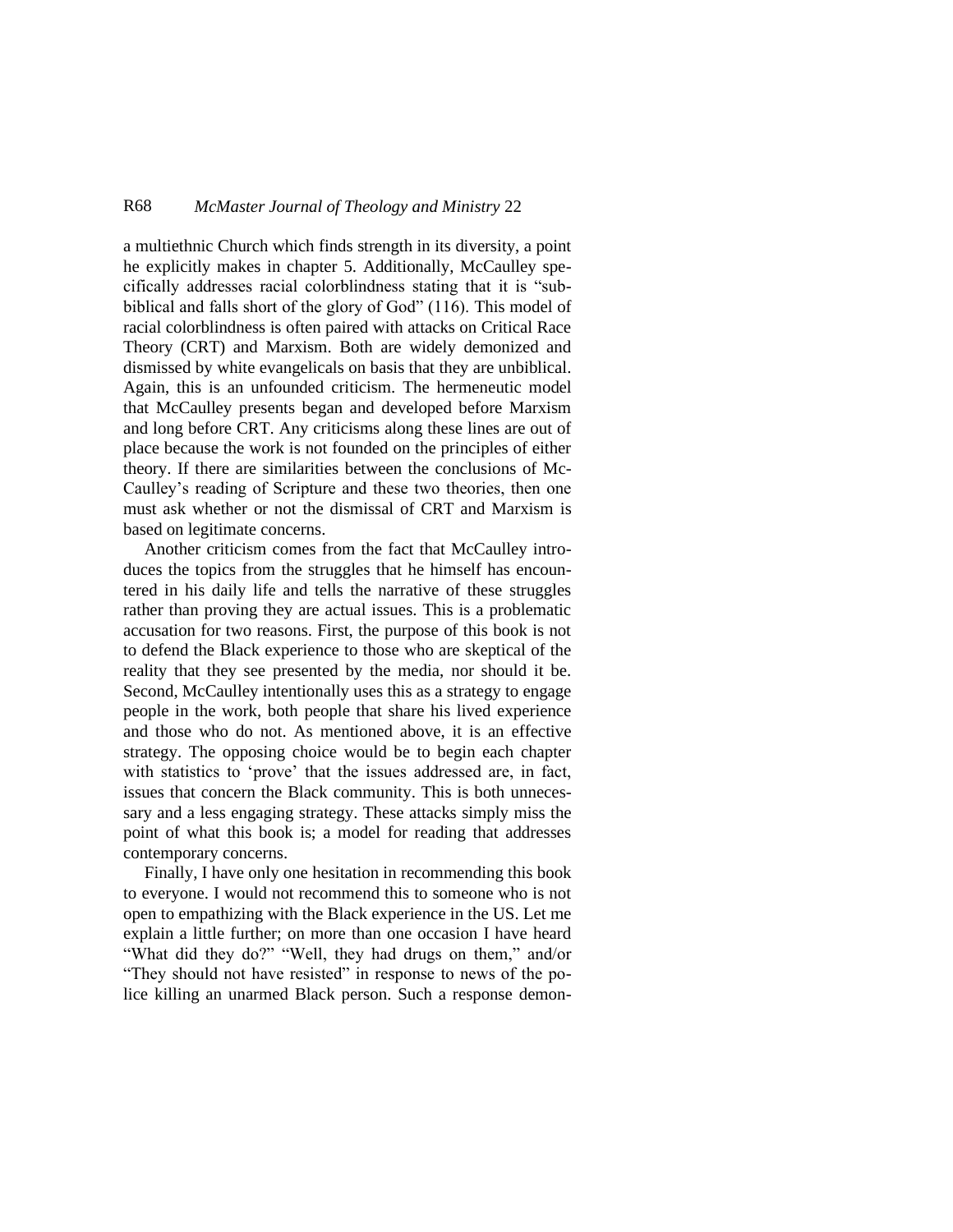## R68 *McMaster Journal of Theology and Ministry* 22

a multiethnic Church which finds strength in its diversity, a point he explicitly makes in chapter 5. Additionally, McCaulley specifically addresses racial colorblindness stating that it is "subbiblical and falls short of the glory of God" (116). This model of racial colorblindness is often paired with attacks on Critical Race Theory (CRT) and Marxism. Both are widely demonized and dismissed by white evangelicals on basis that they are unbiblical. Again, this is an unfounded criticism. The hermeneutic model that McCaulley presents began and developed before Marxism and long before CRT. Any criticisms along these lines are out of place because the work is not founded on the principles of either theory. If there are similarities between the conclusions of Mc-Caulley's reading of Scripture and these two theories, then one must ask whether or not the dismissal of CRT and Marxism is based on legitimate concerns.

Another criticism comes from the fact that McCaulley introduces the topics from the struggles that he himself has encountered in his daily life and tells the narrative of these struggles rather than proving they are actual issues. This is a problematic accusation for two reasons. First, the purpose of this book is not to defend the Black experience to those who are skeptical of the reality that they see presented by the media, nor should it be. Second, McCaulley intentionally uses this as a strategy to engage people in the work, both people that share his lived experience and those who do not. As mentioned above, it is an effective strategy. The opposing choice would be to begin each chapter with statistics to 'prove' that the issues addressed are, in fact, issues that concern the Black community. This is both unnecessary and a less engaging strategy. These attacks simply miss the point of what this book is; a model for reading that addresses contemporary concerns.

Finally, I have only one hesitation in recommending this book to everyone. I would not recommend this to someone who is not open to empathizing with the Black experience in the US. Let me explain a little further; on more than one occasion I have heard "What did they do?" "Well, they had drugs on them," and/or "They should not have resisted" in response to news of the police killing an unarmed Black person. Such a response demon